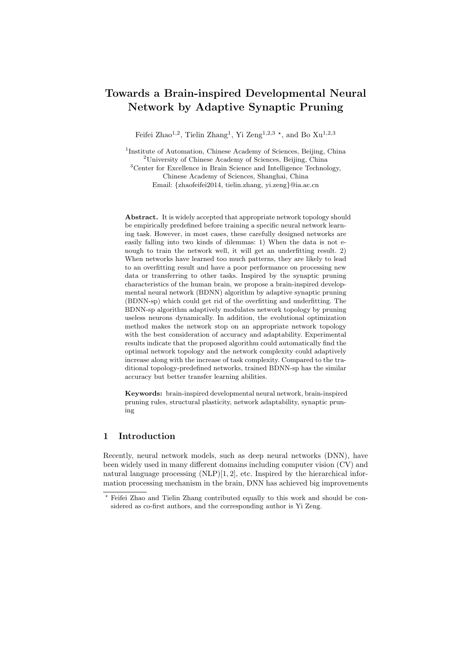# Towards a Brain-inspired Developmental Neural Network by Adaptive Synaptic Pruning

Feifei Zhao<sup>1,2</sup>, Tielin Zhang<sup>1</sup>, Yi Zeng<sup>1,2,3</sup><sup>\*</sup>, and Bo Xu<sup>1,2,3</sup>

<sup>1</sup>Institute of Automation, Chinese Academy of Sciences, Beijing, China <sup>2</sup>University of Chinese Academy of Sciences, Beijing, China <sup>3</sup>Center for Excellence in Brain Science and Intelligence Technology, Chinese Academy of Sciences, Shanghai, China Email: {zhaofeifei2014, tielin.zhang, yi.zeng}@ia.ac.cn

Abstract. It is widely accepted that appropriate network topology should be empirically predefined before training a specific neural network learning task. However, in most cases, these carefully designed networks are easily falling into two kinds of dilemmas: 1) When the data is not enough to train the network well, it will get an underfitting result. 2) When networks have learned too much patterns, they are likely to lead to an overfitting result and have a poor performance on processing new data or transferring to other tasks. Inspired by the synaptic pruning characteristics of the human brain, we propose a brain-inspired developmental neural network (BDNN) algorithm by adaptive synaptic pruning (BDNN-sp) which could get rid of the overfitting and underfitting. The BDNN-sp algorithm adaptively modulates network topology by pruning useless neurons dynamically. In addition, the evolutional optimization method makes the network stop on an appropriate network topology with the best consideration of accuracy and adaptability. Experimental results indicate that the proposed algorithm could automatically find the optimal network topology and the network complexity could adaptively increase along with the increase of task complexity. Compared to the traditional topology-predefined networks, trained BDNN-sp has the similar accuracy but better transfer learning abilities.

Keywords: brain-inspired developmental neural network, brain-inspired pruning rules, structural plasticity, network adaptability, synaptic pruning

## 1 Introduction

Recently, neural network models, such as deep neural networks (DNN), have been widely used in many different domains including computer vision (CV) and natural language processing (NLP)[1, 2], etc. Inspired by the hierarchical information processing mechanism in the brain, DNN has achieved big improvements

<sup>?</sup> Feifei Zhao and Tielin Zhang contributed equally to this work and should be considered as co-first authors, and the corresponding author is Yi Zeng.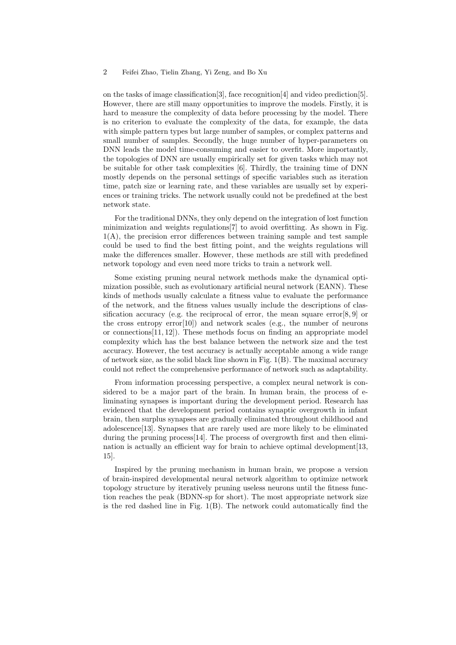#### 2 Feifei Zhao, Tielin Zhang, Yi Zeng, and Bo Xu

on the tasks of image classification[3], face recognition[4] and video prediction[5]. However, there are still many opportunities to improve the models. Firstly, it is hard to measure the complexity of data before processing by the model. There is no criterion to evaluate the complexity of the data, for example, the data with simple pattern types but large number of samples, or complex patterns and small number of samples. Secondly, the huge number of hyper-parameters on DNN leads the model time-consuming and easier to overfit. More importantly, the topologies of DNN are usually empirically set for given tasks which may not be suitable for other task complexities [6]. Thirdly, the training time of DNN mostly depends on the personal settings of specific variables such as iteration time, patch size or learning rate, and these variables are usually set by experiences or training tricks. The network usually could not be predefined at the best network state.

For the traditional DNNs, they only depend on the integration of lost function minimization and weights regulations[7] to avoid overfitting. As shown in Fig. 1(A), the precision error differences between training sample and test sample could be used to find the best fitting point, and the weights regulations will make the differences smaller. However, these methods are still with predefined network topology and even need more tricks to train a network well.

Some existing pruning neural network methods make the dynamical optimization possible, such as evolutionary artificial neural network (EANN). These kinds of methods usually calculate a fitness value to evaluate the performance of the network, and the fitness values usually include the descriptions of classification accuracy (e.g. the reciprocal of error, the mean square error $[8, 9]$  or the cross entropy  $error[10]$  and network scales (e.g., the number of neurons or connections[11, 12]). These methods focus on finding an appropriate model complexity which has the best balance between the network size and the test accuracy. However, the test accuracy is actually acceptable among a wide range of network size, as the solid black line shown in Fig. 1(B). The maximal accuracy could not reflect the comprehensive performance of network such as adaptability.

From information processing perspective, a complex neural network is considered to be a major part of the brain. In human brain, the process of eliminating synapses is important during the development period. Research has evidenced that the development period contains synaptic overgrowth in infant brain, then surplus synapses are gradually eliminated throughout childhood and adolescence[13]. Synapses that are rarely used are more likely to be eliminated during the pruning process[14]. The process of overgrowth first and then elimination is actually an efficient way for brain to achieve optimal development[13, 15].

Inspired by the pruning mechanism in human brain, we propose a version of brain-inspired developmental neural network algorithm to optimize network topology structure by iteratively pruning useless neurons until the fitness function reaches the peak (BDNN-sp for short). The most appropriate network size is the red dashed line in Fig. 1(B). The network could automatically find the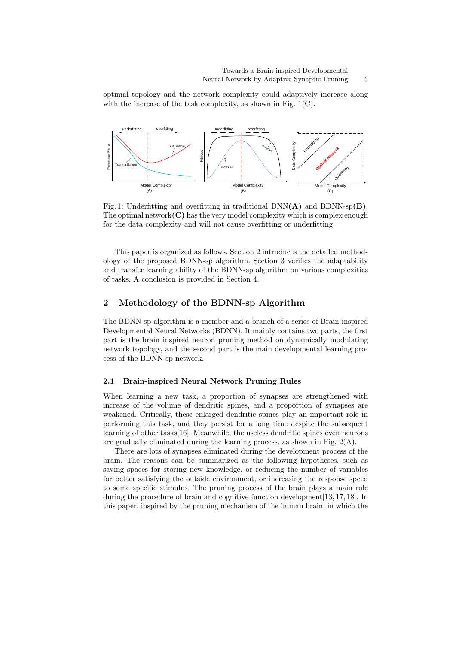optimal topology and the network complexity could adaptively increase along with the increase of the task complexity, as shown in Fig.  $1(C)$ .



Fig. 1: Underfitting and overfitting in traditional  $DNN(A)$  and  $BDNN-sp(B)$ . The optimal network $(C)$  has the very model complexity which is complex enough for the data complexity and will not cause overfitting or underfitting.

This paper is organized as follows. Section 2 introduces the detailed methodology of the proposed BDNN-sp algorithm. Section 3 verifies the adaptability and transfer learning ability of the BDNN-sp algorithm on various complexities of tasks. A conclusion is provided in Section 4.

## 2 Methodology of the BDNN-sp Algorithm

The BDNN-sp algorithm is a member and a branch of a series of Brain-inspired Developmental Neural Networks (BDNN). It mainly contains two parts, the first part is the brain inspired neuron pruning method on dynamically modulating network topology, and the second part is the main developmental learning process of the BDNN-sp network.

#### 2.1 Brain-inspired Neural Network Pruning Rules

When learning a new task, a proportion of synapses are strengthened with increase of the volume of dendritic spines, and a proportion of synapses are weakened. Critically, these enlarged dendritic spines play an important role in performing this task, and they persist for a long time despite the subsequent learning of other tasks[16]. Meanwhile, the useless dendritic spines even neurons are gradually eliminated during the learning process, as shown in Fig. 2(A).

There are lots of synapses eliminated during the development process of the brain. The reasons can be summarized as the following hypotheses, such as saving spaces for storing new knowledge, or reducing the number of variables for better satisfying the outside environment, or increasing the response speed to some specific stimulus. The pruning process of the brain plays a main role during the procedure of brain and cognitive function development[13, 17, 18]. In this paper, inspired by the pruning mechanism of the human brain, in which the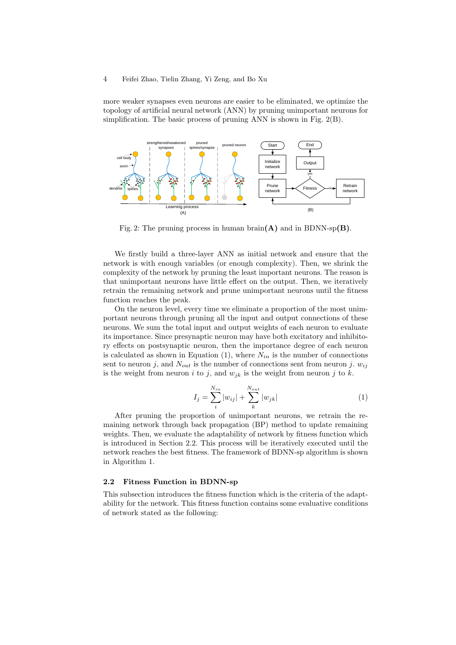#### 4 Feifei Zhao, Tielin Zhang, Yi Zeng, and Bo Xu

more weaker synapses even neurons are easier to be eliminated, we optimize the topology of artificial neural network (ANN) by pruning unimportant neurons for simplification. The basic process of pruning ANN is shown in Fig. 2(B).



Fig. 2: The pruning process in human brain $(A)$  and in BDNN-sp $(B)$ .

We firstly build a three-layer ANN as initial network and ensure that the network is with enough variables (or enough complexity). Then, we shrink the complexity of the network by pruning the least important neurons. The reason is that unimportant neurons have little effect on the output. Then, we iteratively retrain the remaining network and prune unimportant neurons until the fitness function reaches the peak.

On the neuron level, every time we eliminate a proportion of the most unimportant neurons through pruning all the input and output connections of these neurons. We sum the total input and output weights of each neuron to evaluate its importance. Since presynaptic neuron may have both excitatory and inhibitory effects on postsynaptic neuron, then the importance degree of each neuron is calculated as shown in Equation  $(1)$ , where  $N_{in}$  is the number of connections sent to neuron j, and  $N_{out}$  is the number of connections sent from neuron j.  $w_{ij}$ is the weight from neuron i to j, and  $w_{ik}$  is the weight from neuron j to k.

$$
I_j = \sum_{i}^{N_{in}} |w_{ij}| + \sum_{k}^{N_{out}} |w_{jk}|
$$
 (1)

After pruning the proportion of unimportant neurons, we retrain the remaining network through back propagation (BP) method to update remaining weights. Then, we evaluate the adaptability of network by fitness function which is introduced in Section 2.2. This process will be iteratively executed until the network reaches the best fitness. The framework of BDNN-sp algorithm is shown in Algorithm 1.

## 2.2 Fitness Function in BDNN-sp

This subsection introduces the fitness function which is the criteria of the adaptability for the network. This fitness function contains some evaluative conditions of network stated as the following: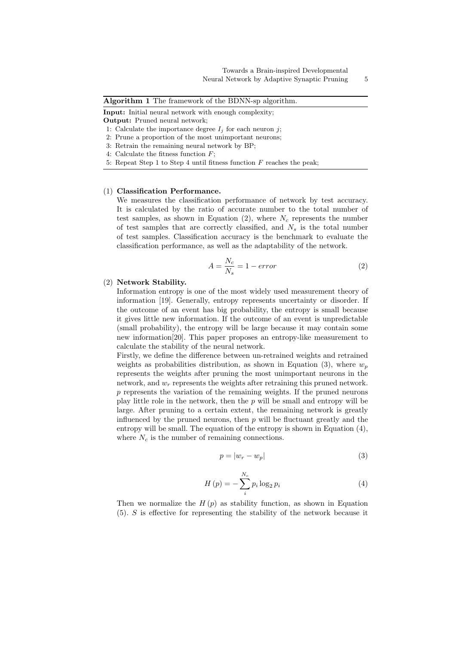Input: Initial neural network with enough complexity;

Output: Pruned neural network;

- 1: Calculate the importance degree  $I_j$  for each neuron j;
- 2: Prune a proportion of the most unimportant neurons;
- 3: Retrain the remaining neural network by BP;
- 4: Calculate the fitness function  $F$ ;
- 5: Repeat Step 1 to Step 4 until fitness function  $F$  reaches the peak;

#### (1) Classification Performance.

We measures the classification performance of network by test accuracy. It is calculated by the ratio of accurate number to the total number of test samples, as shown in Equation  $(2)$ , where  $N_c$  represents the number of test samples that are correctly classified, and  $N_s$  is the total number of test samples. Classification accuracy is the benchmark to evaluate the classification performance, as well as the adaptability of the network.

$$
A = \frac{N_c}{N_s} = 1 - error \tag{2}
$$

#### (2) Network Stability.

Information entropy is one of the most widely used measurement theory of information [19]. Generally, entropy represents uncertainty or disorder. If the outcome of an event has big probability, the entropy is small because it gives little new information. If the outcome of an event is unpredictable (small probability), the entropy will be large because it may contain some new information[20]. This paper proposes an entropy-like measurement to calculate the stability of the neural network.

Firstly, we define the difference between un-retrained weights and retrained weights as probabilities distribution, as shown in Equation (3), where  $w_p$ represents the weights after pruning the most unimportant neurons in the network, and  $w_r$  represents the weights after retraining this pruned network. p represents the variation of the remaining weights. If the pruned neurons play little role in the network, then the  $p$  will be small and entropy will be large. After pruning to a certain extent, the remaining network is greatly influenced by the pruned neurons, then  $p$  will be fluctuant greatly and the entropy will be small. The equation of the entropy is shown in Equation (4), where  $N_c$  is the number of remaining connections.

$$
p = |w_r - w_p| \tag{3}
$$

$$
H(p) = -\sum_{i}^{N_c} p_i \log_2 p_i \tag{4}
$$

Then we normalize the  $H(p)$  as stability function, as shown in Equation (5). S is effective for representing the stability of the network because it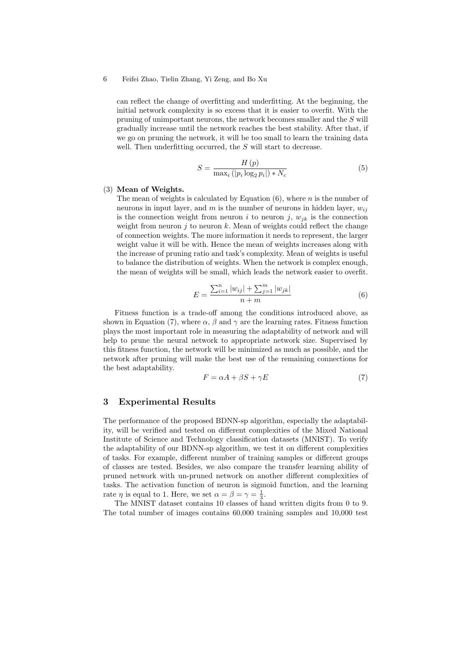6 Feifei Zhao, Tielin Zhang, Yi Zeng, and Bo Xu

can reflect the change of overfitting and underfitting. At the beginning, the initial network complexity is so excess that it is easier to overfit. With the pruning of unimportant neurons, the network becomes smaller and the S will gradually increase until the network reaches the best stability. After that, if we go on pruning the network, it will be too small to learn the training data well. Then underfitting occurred, the  $S$  will start to decrease.

$$
S = \frac{H\left(p\right)}{\max_{i}\left(\left|p_{i}\log_{2} p_{i}\right|\right) * N_{c}}
$$
\n<sup>(5)</sup>

## (3) Mean of Weights.

The mean of weights is calculated by Equation  $(6)$ , where *n* is the number of neurons in input layer, and m is the number of neurons in hidden layer,  $w_{ij}$ is the connection weight from neuron i to neuron j,  $w_{ik}$  is the connection weight from neuron  $j$  to neuron  $k$ . Mean of weights could reflect the change of connection weights. The more information it needs to represent, the larger weight value it will be with. Hence the mean of weights increases along with the increase of pruning ratio and task's complexity. Mean of weights is useful to balance the distribution of weights. When the network is complex enough, the mean of weights will be small, which leads the network easier to overfit.

$$
E = \frac{\sum_{i=1}^{n} |w_{ij}| + \sum_{j=1}^{m} |w_{jk}|}{n+m}
$$
(6)

Fitness function is a trade-off among the conditions introduced above, as shown in Equation (7), where  $\alpha$ ,  $\beta$  and  $\gamma$  are the learning rates. Fitness function plays the most important role in measuring the adaptability of network and will help to prune the neural network to appropriate network size. Supervised by this fitness function, the network will be minimized as much as possible, and the network after pruning will make the best use of the remaining connections for the best adaptability.

$$
F = \alpha A + \beta S + \gamma E \tag{7}
$$

### 3 Experimental Results

The performance of the proposed BDNN-sp algorithm, especially the adaptability, will be verified and tested on different complexities of the Mixed National Institute of Science and Technology classification datasets (MNIST). To verify the adaptability of our BDNN-sp algorithm, we test it on different complexities of tasks. For example, different number of training samples or different groups of classes are tested. Besides, we also compare the transfer learning ability of pruned network with un-pruned network on another different complexities of tasks. The activation function of neuron is sigmoid function, and the learning rate  $\eta$  is equal to 1. Here, we set  $\alpha = \beta = \gamma = \frac{1}{3}$ .

The MNIST dataset contains 10 classes of hand written digits from 0 to 9. The total number of images contains 60,000 training samples and 10,000 test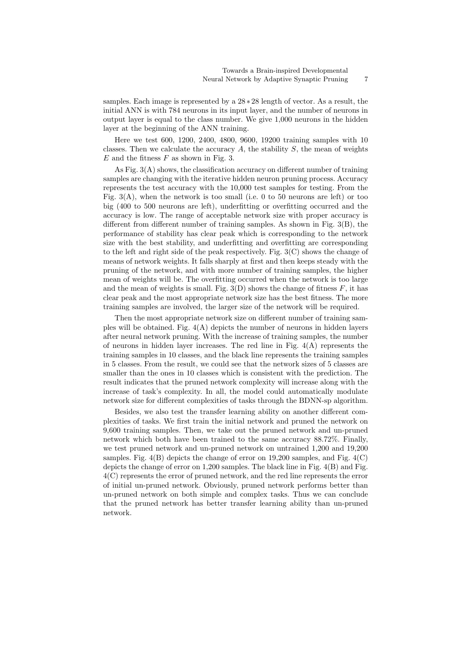samples. Each image is represented by a  $28 * 28$  length of vector. As a result, the initial ANN is with 784 neurons in its input layer, and the number of neurons in output layer is equal to the class number. We give 1,000 neurons in the hidden layer at the beginning of the ANN training.

Here we test 600, 1200, 2400, 4800, 9600, 19200 training samples with 10 classes. Then we calculate the accuracy  $A$ , the stability  $S$ , the mean of weights  $E$  and the fitness  $F$  as shown in Fig. 3.

As Fig. 3(A) shows, the classification accuracy on different number of training samples are changing with the iterative hidden neuron pruning process. Accuracy represents the test accuracy with the 10,000 test samples for testing. From the Fig.  $3(A)$ , when the network is too small (i.e. 0 to 50 neurons are left) or too big (400 to 500 neurons are left), underfitting or overfitting occurred and the accuracy is low. The range of acceptable network size with proper accuracy is different from different number of training samples. As shown in Fig. 3(B), the performance of stability has clear peak which is corresponding to the network size with the best stability, and underfitting and overfitting are corresponding to the left and right side of the peak respectively. Fig. 3(C) shows the change of means of network weights. It falls sharply at first and then keeps steady with the pruning of the network, and with more number of training samples, the higher mean of weights will be. The overfitting occurred when the network is too large and the mean of weights is small. Fig.  $3(D)$  shows the change of fitness  $F$ , it has clear peak and the most appropriate network size has the best fitness. The more training samples are involved, the larger size of the network will be required.

Then the most appropriate network size on different number of training samples will be obtained. Fig.  $4(A)$  depicts the number of neurons in hidden layers after neural network pruning. With the increase of training samples, the number of neurons in hidden layer increases. The red line in Fig.  $4(A)$  represents the training samples in 10 classes, and the black line represents the training samples in 5 classes. From the result, we could see that the network sizes of 5 classes are smaller than the ones in 10 classes which is consistent with the prediction. The result indicates that the pruned network complexity will increase along with the increase of task's complexity. In all, the model could automatically modulate network size for different complexities of tasks through the BDNN-sp algorithm.

Besides, we also test the transfer learning ability on another different complexities of tasks. We first train the initial network and pruned the network on 9,600 training samples. Then, we take out the pruned network and un-pruned network which both have been trained to the same accuracy 88.72%. Finally, we test pruned network and un-pruned network on untrained 1,200 and 19,200 samples. Fig.  $4(B)$  depicts the change of error on 19,200 samples, and Fig.  $4(C)$ depicts the change of error on  $1,200$  samples. The black line in Fig.  $4(B)$  and Fig. 4(C) represents the error of pruned network, and the red line represents the error of initial un-pruned network. Obviously, pruned network performs better than un-pruned network on both simple and complex tasks. Thus we can conclude that the pruned network has better transfer learning ability than un-pruned network.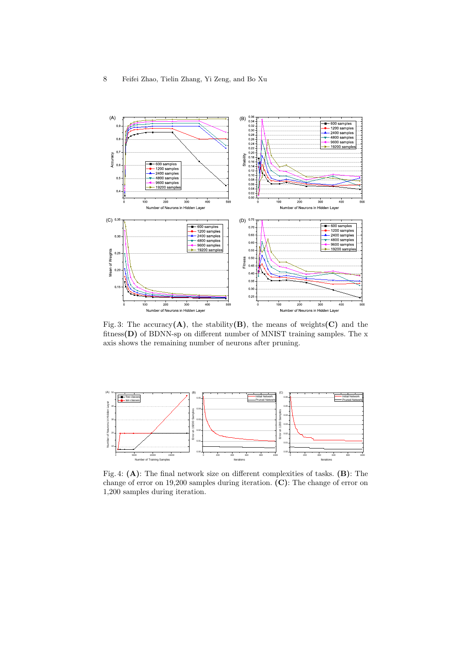

Fig. 3: The accuracy( $A$ ), the stability( $B$ ), the means of weights( $C$ ) and the fitness $(D)$  of BDNN-sp on different number of MNIST training samples. The x axis shows the remaining number of neurons after pruning.



Fig. 4: (A): The final network size on different complexities of tasks. (B): The change of error on 19,200 samples during iteration. (C): The change of error on 1,200 samples during iteration.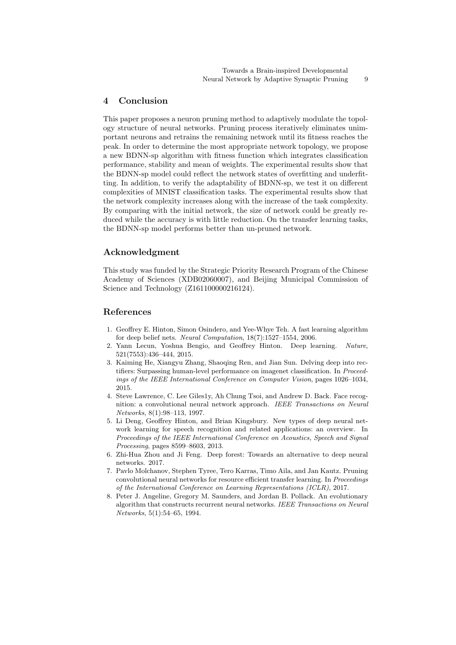## 4 Conclusion

This paper proposes a neuron pruning method to adaptively modulate the topology structure of neural networks. Pruning process iteratively eliminates unimportant neurons and retrains the remaining network until its fitness reaches the peak. In order to determine the most appropriate network topology, we propose a new BDNN-sp algorithm with fitness function which integrates classification performance, stability and mean of weights. The experimental results show that the BDNN-sp model could reflect the network states of overfitting and underfitting. In addition, to verify the adaptability of BDNN-sp, we test it on different complexities of MNIST classification tasks. The experimental results show that the network complexity increases along with the increase of the task complexity. By comparing with the initial network, the size of network could be greatly reduced while the accuracy is with little reduction. On the transfer learning tasks, the BDNN-sp model performs better than un-pruned network.

## Acknowledgment

This study was funded by the Strategic Priority Research Program of the Chinese Academy of Sciences (XDB02060007), and Beijing Municipal Commission of Science and Technology (Z161100000216124).

## References

- 1. Geoffrey E. Hinton, Simon Osindero, and Yee-Whye Teh. A fast learning algorithm for deep belief nets. Neural Computation, 18(7):1527–1554, 2006.
- 2. Yann Lecun, Yoshua Bengio, and Geoffrey Hinton. Deep learning. Nature, 521(7553):436–444, 2015.
- 3. Kaiming He, Xiangyu Zhang, Shaoqing Ren, and Jian Sun. Delving deep into rectifiers: Surpassing human-level performance on imagenet classification. In Proceedings of the IEEE International Conference on Computer Vision, pages 1026–1034, 2015.
- 4. Steve Lawrence, C. Lee Giles1y, Ah Chung Tsoi, and Andrew D. Back. Face recognition: a convolutional neural network approach. IEEE Transactions on Neural Networks, 8(1):98–113, 1997.
- 5. Li Deng, Geoffrey Hinton, and Brian Kingsbury. New types of deep neural network learning for speech recognition and related applications: an overview. In Proceedings of the IEEE International Conference on Acoustics, Speech and Signal Processing, pages 8599–8603, 2013.
- 6. Zhi-Hua Zhou and Ji Feng. Deep forest: Towards an alternative to deep neural networks. 2017.
- 7. Pavlo Molchanov, Stephen Tyree, Tero Karras, Timo Aila, and Jan Kautz. Pruning convolutional neural networks for resource efficient transfer learning. In Proceedings of the International Conference on Learning Representations (ICLR), 2017.
- 8. Peter J. Angeline, Gregory M. Saunders, and Jordan B. Pollack. An evolutionary algorithm that constructs recurrent neural networks. IEEE Transactions on Neural Networks, 5(1):54–65, 1994.